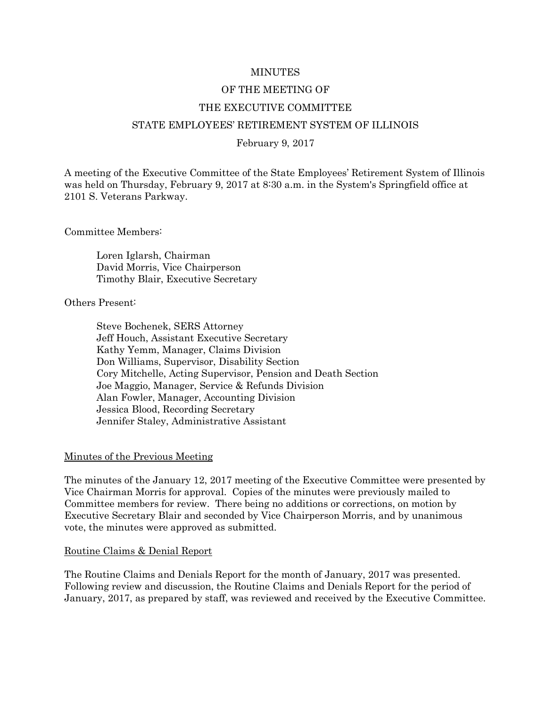### MINUTES

## OF THE MEETING OF

## THE EXECUTIVE COMMITTEE

### STATE EMPLOYEES' RETIREMENT SYSTEM OF ILLINOIS

### February 9, 2017

A meeting of the Executive Committee of the State Employees' Retirement System of Illinois was held on Thursday, February 9, 2017 at 8:30 a.m. in the System's Springfield office at 2101 S. Veterans Parkway.

Committee Members:

Loren Iglarsh, Chairman David Morris, Vice Chairperson Timothy Blair, Executive Secretary

### Others Present:

Steve Bochenek, SERS Attorney Jeff Houch, Assistant Executive Secretary Kathy Yemm, Manager, Claims Division Don Williams, Supervisor, Disability Section Cory Mitchelle, Acting Supervisor, Pension and Death Section Joe Maggio, Manager, Service & Refunds Division Alan Fowler, Manager, Accounting Division Jessica Blood, Recording Secretary Jennifer Staley, Administrative Assistant

### Minutes of the Previous Meeting

The minutes of the January 12, 2017 meeting of the Executive Committee were presented by Vice Chairman Morris for approval. Copies of the minutes were previously mailed to Committee members for review. There being no additions or corrections, on motion by Executive Secretary Blair and seconded by Vice Chairperson Morris, and by unanimous vote, the minutes were approved as submitted.

#### Routine Claims & Denial Report

The Routine Claims and Denials Report for the month of January, 2017 was presented. Following review and discussion, the Routine Claims and Denials Report for the period of January, 2017, as prepared by staff, was reviewed and received by the Executive Committee.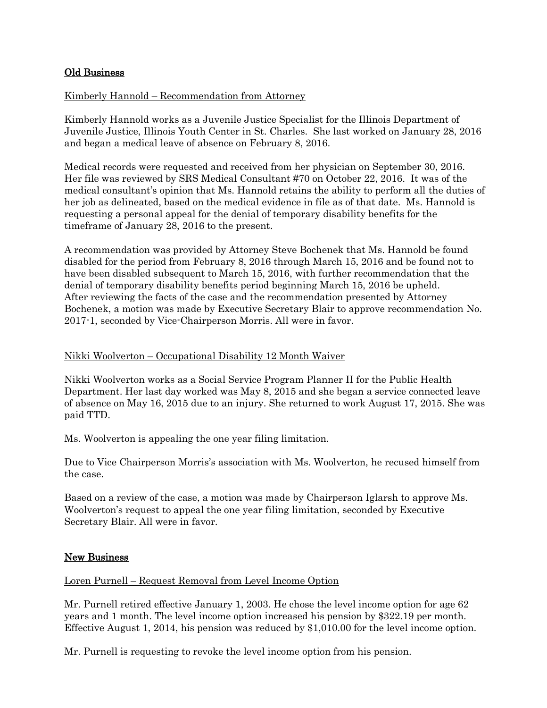# Old Business

# Kimberly Hannold – Recommendation from Attorney

Kimberly Hannold works as a Juvenile Justice Specialist for the Illinois Department of Juvenile Justice, Illinois Youth Center in St. Charles. She last worked on January 28, 2016 and began a medical leave of absence on February 8, 2016.

Medical records were requested and received from her physician on September 30, 2016. Her file was reviewed by SRS Medical Consultant #70 on October 22, 2016. It was of the medical consultant's opinion that Ms. Hannold retains the ability to perform all the duties of her job as delineated, based on the medical evidence in file as of that date. Ms. Hannold is requesting a personal appeal for the denial of temporary disability benefits for the timeframe of January 28, 2016 to the present.

A recommendation was provided by Attorney Steve Bochenek that Ms. Hannold be found disabled for the period from February 8, 2016 through March 15, 2016 and be found not to have been disabled subsequent to March 15, 2016, with further recommendation that the denial of temporary disability benefits period beginning March 15, 2016 be upheld. After reviewing the facts of the case and the recommendation presented by Attorney Bochenek, a motion was made by Executive Secretary Blair to approve recommendation No. 2017-1, seconded by Vice-Chairperson Morris. All were in favor.

## Nikki Woolverton – Occupational Disability 12 Month Waiver

Nikki Woolverton works as a Social Service Program Planner II for the Public Health Department. Her last day worked was May 8, 2015 and she began a service connected leave of absence on May 16, 2015 due to an injury. She returned to work August 17, 2015. She was paid TTD.

Ms. Woolverton is appealing the one year filing limitation.

Due to Vice Chairperson Morris's association with Ms. Woolverton, he recused himself from the case.

Based on a review of the case, a motion was made by Chairperson Iglarsh to approve Ms. Woolverton's request to appeal the one year filing limitation, seconded by Executive Secretary Blair. All were in favor.

# New Business

## Loren Purnell – Request Removal from Level Income Option

Mr. Purnell retired effective January 1, 2003. He chose the level income option for age 62 years and 1 month. The level income option increased his pension by \$322.19 per month. Effective August 1, 2014, his pension was reduced by \$1,010.00 for the level income option.

Mr. Purnell is requesting to revoke the level income option from his pension.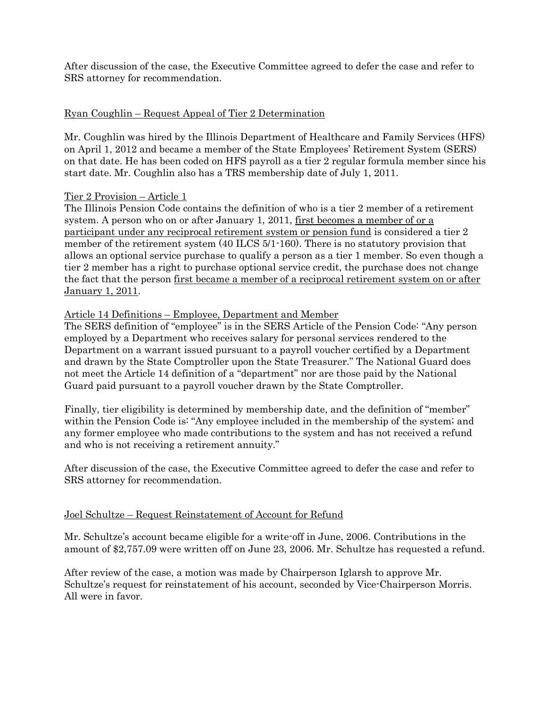After discussion of the case, the Executive Committee agreed to defer the case and refer to SRS attorney for recommendation.

# Ryan Coughlin – Request Appeal of Tier 2 Determination

Mr. Coughlin was hired by the Illinois Department of Healthcare and Family Services (HFS) on April 1, 2012 and became a member of the State Employees' Retirement System (SERS) on that date. He has been coded on HFS payroll as a tier 2 regular formula member since his start date. Mr. Coughlin also has a TRS membership date of July 1, 2011.

# Tier 2 Provision – Article 1

The Illinois Pension Code contains the definition of who is a tier 2 member of a retirement system. A person who on or after January 1, 2011, first becomes a member of or a participant under any reciprocal retirement system or pension fund is considered a tier 2 member of the retirement system (40 ILCS 5/1-160). There is no statutory provision that allows an optional service purchase to qualify a person as a tier 1 member. So even though a tier 2 member has a right to purchase optional service credit, the purchase does not change the fact that the person first became a member of a reciprocal retirement system on or after January 1, 2011.

# Article 14 Definitions – Employee, Department and Member

The SERS definition of "employee" is in the SERS Article of the Pension Code: "Any person employed by a Department who receives salary for personal services rendered to the Department on a warrant issued pursuant to a payroll voucher certified by a Department and drawn by the State Comptroller upon the State Treasurer." The National Guard does not meet the Article 14 definition of a "department" nor are those paid by the National Guard paid pursuant to a payroll voucher drawn by the State Comptroller.

Finally, tier eligibility is determined by membership date, and the definition of "member" within the Pension Code is: "Any employee included in the membership of the system; and any former employee who made contributions to the system and has not received a refund and who is not receiving a retirement annuity."

After discussion of the case, the Executive Committee agreed to defer the case and refer to SRS attorney for recommendation.

# Joel Schultze – Request Reinstatement of Account for Refund

Mr. Schultze's account became eligible for a write-off in June, 2006. Contributions in the amount of \$2,757.09 were written off on June 23, 2006. Mr. Schultze has requested a refund.

After review of the case, a motion was made by Chairperson Iglarsh to approve Mr. Schultze's request for reinstatement of his account, seconded by Vice-Chairperson Morris. All were in favor.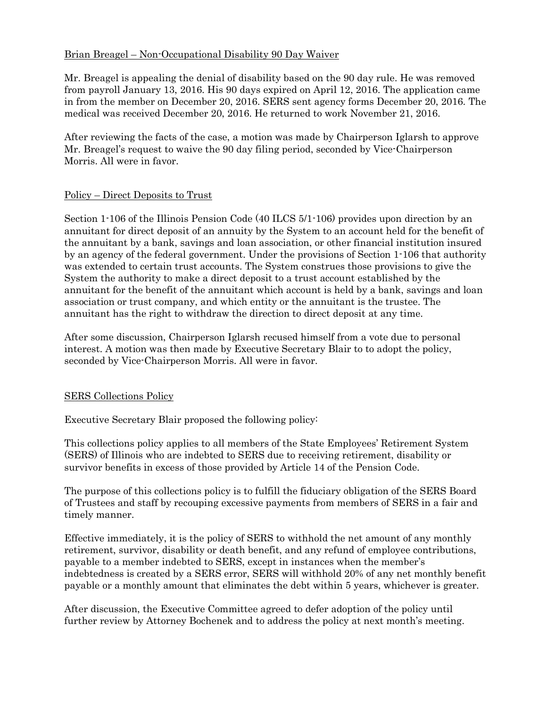# Brian Breagel – Non-Occupational Disability 90 Day Waiver

Mr. Breagel is appealing the denial of disability based on the 90 day rule. He was removed from payroll January 13, 2016. His 90 days expired on April 12, 2016. The application came in from the member on December 20, 2016. SERS sent agency forms December 20, 2016. The medical was received December 20, 2016. He returned to work November 21, 2016.

After reviewing the facts of the case, a motion was made by Chairperson Iglarsh to approve Mr. Breagel's request to waive the 90 day filing period, seconded by Vice-Chairperson Morris. All were in favor.

# Policy – Direct Deposits to Trust

Section 1-106 of the Illinois Pension Code (40 ILCS 5/1-106) provides upon direction by an annuitant for direct deposit of an annuity by the System to an account held for the benefit of the annuitant by a bank, savings and loan association, or other financial institution insured by an agency of the federal government. Under the provisions of Section 1-106 that authority was extended to certain trust accounts. The System construes those provisions to give the System the authority to make a direct deposit to a trust account established by the annuitant for the benefit of the annuitant which account is held by a bank, savings and loan association or trust company, and which entity or the annuitant is the trustee. The annuitant has the right to withdraw the direction to direct deposit at any time.

After some discussion, Chairperson Iglarsh recused himself from a vote due to personal interest. A motion was then made by Executive Secretary Blair to to adopt the policy, seconded by Vice-Chairperson Morris. All were in favor.

# SERS Collections Policy

Executive Secretary Blair proposed the following policy:

This collections policy applies to all members of the State Employees' Retirement System (SERS) of Illinois who are indebted to SERS due to receiving retirement, disability or survivor benefits in excess of those provided by Article 14 of the Pension Code.

The purpose of this collections policy is to fulfill the fiduciary obligation of the SERS Board of Trustees and staff by recouping excessive payments from members of SERS in a fair and timely manner.

Effective immediately, it is the policy of SERS to withhold the net amount of any monthly retirement, survivor, disability or death benefit, and any refund of employee contributions, payable to a member indebted to SERS, except in instances when the member's indebtedness is created by a SERS error, SERS will withhold 20% of any net monthly benefit payable or a monthly amount that eliminates the debt within 5 years, whichever is greater.

After discussion, the Executive Committee agreed to defer adoption of the policy until further review by Attorney Bochenek and to address the policy at next month's meeting.